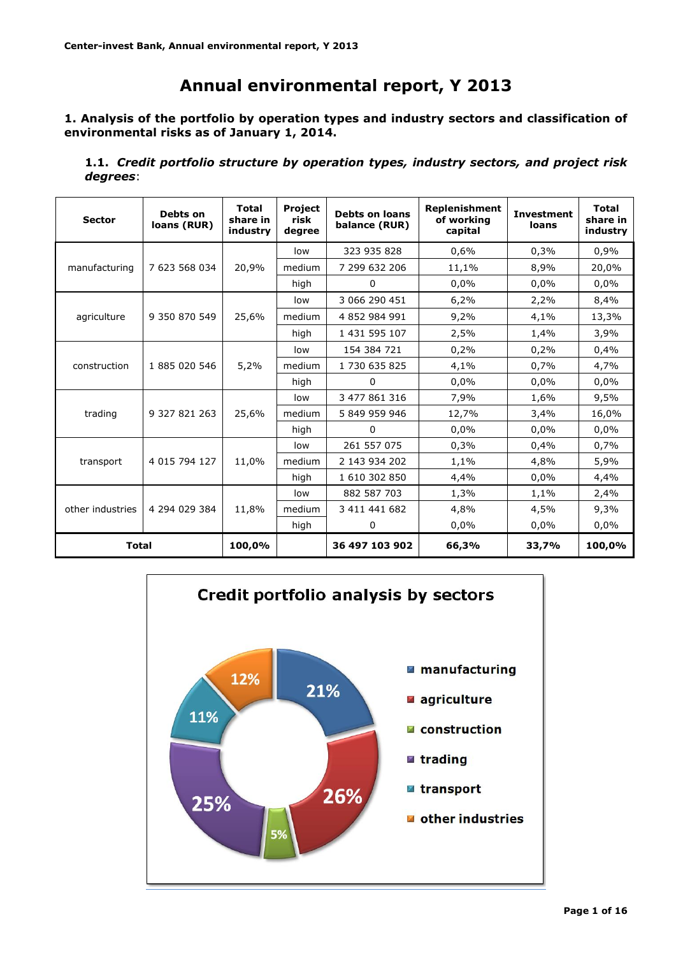# **Annual environmental report, Y 2013**

# **1. Analysis of the portfolio by operation types and industry sectors and classification of environmental risks as of January 1, 2014.**

**1.1.** *Credit portfolio structure by operation types, industry sectors, and project risk degrees*:

| <b>Sector</b>    | Debts on<br>loans (RUR) | <b>Total</b><br>share in<br>industry | <b>Project</b><br>risk<br>degree | <b>Debts on loans</b><br>balance (RUR) | <b>Replenishment</b><br>of working<br>capital | <b>Investment</b><br>loans | <b>Total</b><br>share in<br>industry |
|------------------|-------------------------|--------------------------------------|----------------------------------|----------------------------------------|-----------------------------------------------|----------------------------|--------------------------------------|
|                  |                         |                                      | low                              | 323 935 828                            | 0,6%                                          | 0,3%                       | 0,9%                                 |
| manufacturing    | 7 623 568 034           | 20,9%                                | medium                           | 7 299 632 206                          | 11,1%                                         | 8,9%                       | 20,0%                                |
|                  |                         |                                      | high                             | $\Omega$                               | 0.0%                                          | 0,0%                       | 0.0%                                 |
|                  |                         |                                      | low                              | 3 066 290 451                          | 6,2%                                          | 2,2%                       | 8,4%                                 |
| agriculture      | 9 350 870 549           | 25,6%                                | medium                           | 4 852 984 991                          | 9,2%                                          | 4,1%                       | 13,3%                                |
|                  |                         |                                      | high                             | 1 431 595 107                          | 2,5%                                          | 1,4%                       | 3,9%                                 |
|                  |                         |                                      | low                              | 154 384 721                            | 0,2%                                          | 0,2%                       | 0,4%                                 |
| construction     | 1 885 020 546           | 5,2%                                 | medium                           | 1 730 635 825                          | 4,1%                                          | 0,7%                       | 4,7%                                 |
|                  |                         |                                      | high                             | 0                                      | 0,0%                                          | 0,0%                       | 0.0%                                 |
|                  |                         |                                      | low                              | 3 477 861 316                          | 7,9%                                          | 1,6%                       | 9,5%                                 |
| trading          | 9 327 821 263           | 25,6%                                | medium                           | 5 849 959 946                          | 12,7%                                         | 3,4%                       | 16,0%                                |
|                  |                         |                                      | high                             | 0                                      | 0,0%                                          | 0,0%                       | 0.0%                                 |
|                  |                         |                                      | low                              | 261 557 075                            | 0,3%                                          | 0,4%                       | 0,7%                                 |
| transport        | 4 015 794 127           | 11,0%                                | medium                           | 2 143 934 202                          | 1,1%                                          | 4,8%                       | 5,9%                                 |
|                  |                         |                                      | high                             | 1 610 302 850                          | 4,4%                                          | 0,0%                       | 4,4%                                 |
|                  |                         |                                      | low                              | 882 587 703                            | 1,3%                                          | 1,1%                       | 2,4%                                 |
| other industries | 4 294 029 384           | 11,8%                                | medium                           | 3 411 441 682                          | 4,8%                                          | 4,5%                       | 9,3%                                 |
|                  |                         |                                      | high                             | 0                                      | 0,0%                                          | 0,0%                       | 0.0%                                 |
| <b>Total</b>     |                         | 100,0%                               |                                  | 36 497 103 902                         | 66,3%                                         | 33,7%                      | 100,0%                               |

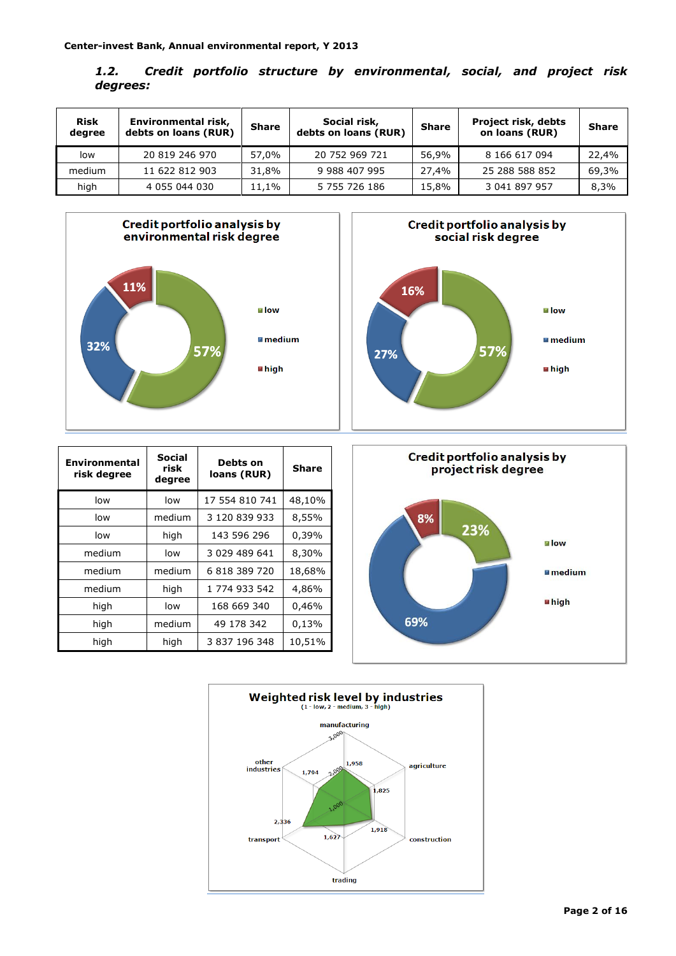| 1.2.     |  |  | Credit portfolio structure by environmental, social, and project risk |  |  |
|----------|--|--|-----------------------------------------------------------------------|--|--|
| degrees: |  |  |                                                                       |  |  |

| <b>Risk</b><br>degree | Environmental risk,<br>debts on loans (RUR) | <b>Share</b> | Social risk,<br>debts on loans (RUR) | <b>Share</b> | <b>Project risk, debts</b><br>on loans (RUR) | <b>Share</b> |
|-----------------------|---------------------------------------------|--------------|--------------------------------------|--------------|----------------------------------------------|--------------|
| low                   | 20 819 246 970                              | 57.0%        | 20 752 969 721                       | 56,9%        | 8 166 617 094                                | 22.4%        |
| medium                | 11 622 812 903                              | 31.8%        | 9 988 407 995                        | 27,4%        | 25 288 588 852                               | 69,3%        |
| high                  | 4 055 044 030                               | 11,1%        | 5 755 726 186                        | 15,8%        | 3 041 897 957                                | 8,3%         |





| <b>Environmental</b><br>risk degree | Social<br>risk<br>degree | Debts on<br>loans (RUR) | Share  |
|-------------------------------------|--------------------------|-------------------------|--------|
| low                                 | low                      | 17 554 810 741          | 48,10% |
| low                                 | medium                   | 3 120 839 933           | 8,55%  |
| low                                 | high                     | 143 596 296             | 0,39%  |
| medium                              | low                      | 3 029 489 641           | 8,30%  |
| medium                              | medium                   | 6 818 389 720           | 18,68% |
| medium                              | high                     | 1 774 933 542           | 4,86%  |
| high                                | low                      | 168 669 340             | 0,46%  |
| high                                | medium                   | 49 178 342              | 0,13%  |
| high                                | high                     | 3 837 196 348           | 10,51% |



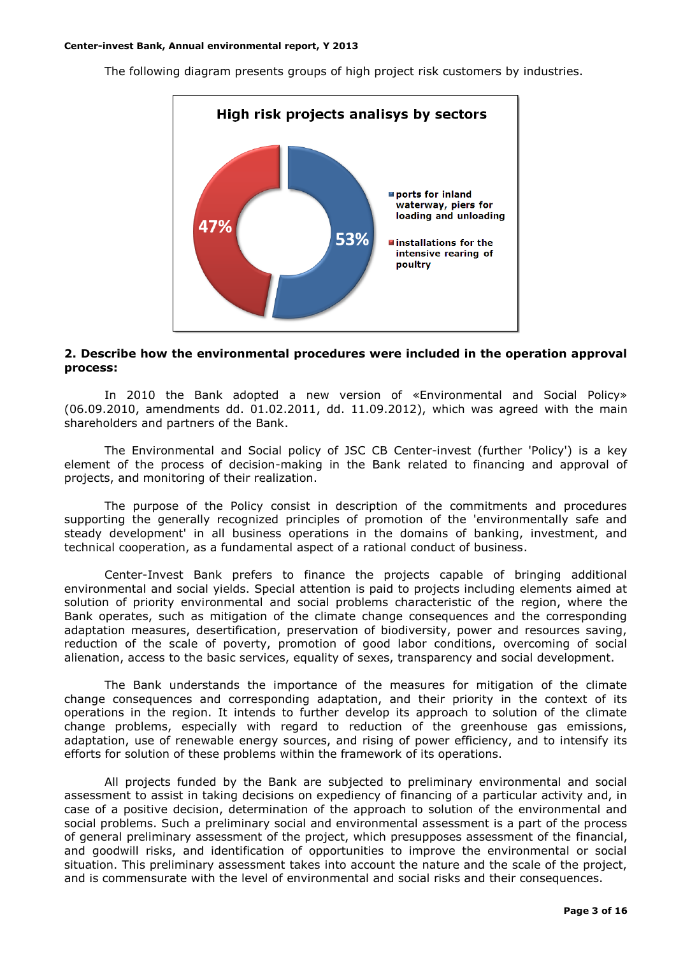

The following diagram presents groups of high project risk customers by industries.

# **2. Describe how the environmental procedures were included in the operation approval process:**

In 2010 the Bank adopted a new version of «Environmental and Social Policy» (06.09.2010, amendments dd. 01.02.2011, dd. 11.09.2012), which was agreed with the main shareholders and partners of the Bank.

The Environmental and Social policy of JSC CB Center-invest (further 'Policy') is a key element of the process of decision-making in the Bank related to financing and approval of projects, and monitoring of their realization.

The purpose of the Policy consist in description of the commitments and procedures supporting the generally recognized principles of promotion of the 'environmentally safe and steady development' in all business operations in the domains of banking, investment, and technical cooperation, as a fundamental aspect of a rational conduct of business.

Center-Invest Bank prefers to finance the projects capable of bringing additional environmental and social yields. Special attention is paid to projects including elements aimed at solution of priority environmental and social problems characteristic of the region, where the Bank operates, such as mitigation of the climate change consequences and the corresponding adaptation measures, desertification, preservation of biodiversity, power and resources saving, reduction of the scale of poverty, promotion of good labor conditions, overcoming of social alienation, access to the basic services, equality of sexes, transparency and social development.

The Bank understands the importance of the measures for mitigation of the climate change consequences and corresponding adaptation, and their priority in the context of its operations in the region. It intends to further develop its approach to solution of the climate change problems, especially with regard to reduction of the greenhouse gas emissions, adaptation, use of renewable energy sources, and rising of power efficiency, and to intensify its efforts for solution of these problems within the framework of its operations.

All projects funded by the Bank are subjected to preliminary environmental and social assessment to assist in taking decisions on expediency of financing of a particular activity and, in case of a positive decision, determination of the approach to solution of the environmental and social problems. Such a preliminary social and environmental assessment is a part of the process of general preliminary assessment of the project, which presupposes assessment of the financial, and goodwill risks, and identification of opportunities to improve the environmental or social situation. This preliminary assessment takes into account the nature and the scale of the project, and is commensurate with the level of environmental and social risks and their consequences.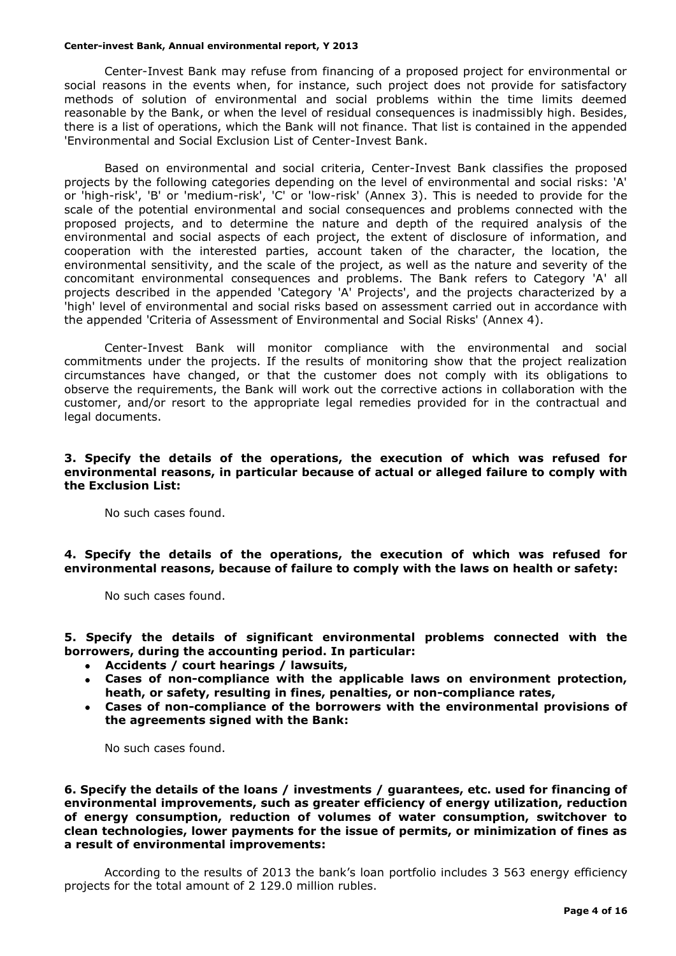Center-Invest Bank may refuse from financing of a proposed project for environmental or social reasons in the events when, for instance, such project does not provide for satisfactory methods of solution of environmental and social problems within the time limits deemed reasonable by the Bank, or when the level of residual consequences is inadmissibly high. Besides, there is a list of operations, which the Bank will not finance. That list is contained in the appended 'Environmental and Social Exclusion List of Center-Invest Bank.

Based on environmental and social criteria, Center-Invest Bank classifies the proposed projects by the following categories depending on the level of environmental and social risks: 'A' or 'high-risk', 'B' or 'medium-risk', 'C' or 'low-risk' (Annex 3). This is needed to provide for the scale of the potential environmental and social consequences and problems connected with the proposed projects, and to determine the nature and depth of the required analysis of the environmental and social aspects of each project, the extent of disclosure of information, and cooperation with the interested parties, account taken of the character, the location, the environmental sensitivity, and the scale of the project, as well as the nature and severity of the concomitant environmental consequences and problems. The Bank refers to Category 'A' all projects described in the appended 'Category 'A' Projects', and the projects characterized by a 'high' level of environmental and social risks based on assessment carried out in accordance with the appended 'Criteria of Assessment of Environmental and Social Risks' (Annex 4).

Center-Invest Bank will monitor compliance with the environmental and social commitments under the projects. If the results of monitoring show that the project realization circumstances have changed, or that the customer does not comply with its obligations to observe the requirements, the Bank will work out the corrective actions in collaboration with the customer, and/or resort to the appropriate legal remedies provided for in the contractual and legal documents.

## **3. Specify the details of the operations, the execution of which was refused for environmental reasons, in particular because of actual or alleged failure to comply with the Exclusion List:**

No such cases found.

**4. Specify the details of the operations, the execution of which was refused for environmental reasons, because of failure to comply with the laws on health or safety:**

No such cases found.

**5. Specify the details of significant environmental problems connected with the borrowers, during the accounting period. In particular:**

- **Accidents / court hearings / lawsuits,**
- **Cases of non-compliance with the applicable laws on environment protection, heath, or safety, resulting in fines, penalties, or non-compliance rates,**
- **Cases of non-compliance of the borrowers with the environmental provisions of the agreements signed with the Bank:**

No such cases found.

**6. Specify the details of the loans / investments / guarantees, etc. used for financing of environmental improvements, such as greater efficiency of energy utilization, reduction of energy consumption, reduction of volumes of water consumption, switchover to clean technologies, lower payments for the issue of permits, or minimization of fines as a result of environmental improvements:**

According to the results of 2013 the bank's loan portfolio includes 3 563 energy efficiency projects for the total amount of 2 129.0 million rubles.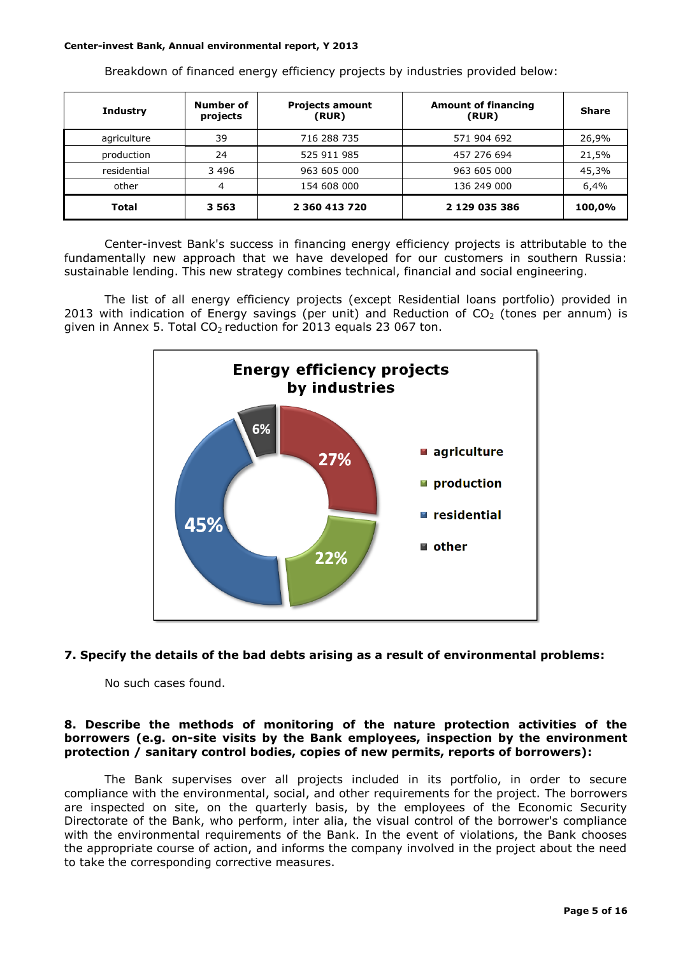| <b>Industry</b> | Number of<br>projects | <b>Projects amount</b><br>(RUR) | <b>Amount of financing</b><br>(RUR) | <b>Share</b> |
|-----------------|-----------------------|---------------------------------|-------------------------------------|--------------|
| agriculture     | 39                    | 716 288 735                     | 571 904 692                         | 26,9%        |
| production      | 24                    | 525 911 985                     | 457 276 694                         | 21,5%        |
| residential     | 3 4 9 6               | 963 605 000                     | 963 605 000                         | 45,3%        |
| other           | 4                     | 154 608 000                     | 136 249 000                         | 6,4%         |
| Total           | 3 5 6 3               | 2 360 413 720                   | 2 129 035 386                       | 100,0%       |

Breakdown of financed energy efficiency projects by industries provided below:

Center-invest Bank's success in financing energy efficiency projects is attributable to the fundamentally new approach that we have developed for our customers in southern Russia: sustainable lending. This new strategy combines technical, financial and social engineering.

The list of all energy efficiency projects (except Residential loans portfolio) provided in 2013 with indication of Energy savings (per unit) and Reduction of  $CO<sub>2</sub>$  (tones per annum) is given in Annex 5. Total  $CO<sub>2</sub>$  reduction for 2013 equals 23 067 ton.



# **7. Specify the details of the bad debts arising as a result of environmental problems:**

No such cases found.

# **8. Describe the methods of monitoring of the nature protection activities of the borrowers (e.g. on-site visits by the Bank employees, inspection by the environment protection / sanitary control bodies, copies of new permits, reports of borrowers):**

The Bank supervises over all projects included in its portfolio, in order to secure compliance with the environmental, social, and other requirements for the project. The borrowers are inspected on site, on the quarterly basis, by the employees of the Economic Security Directorate of the Bank, who perform, inter alia, the visual control of the borrower's compliance with the environmental requirements of the Bank. In the event of violations, the Bank chooses the appropriate course of action, and informs the company involved in the project about the need to take the corresponding corrective measures.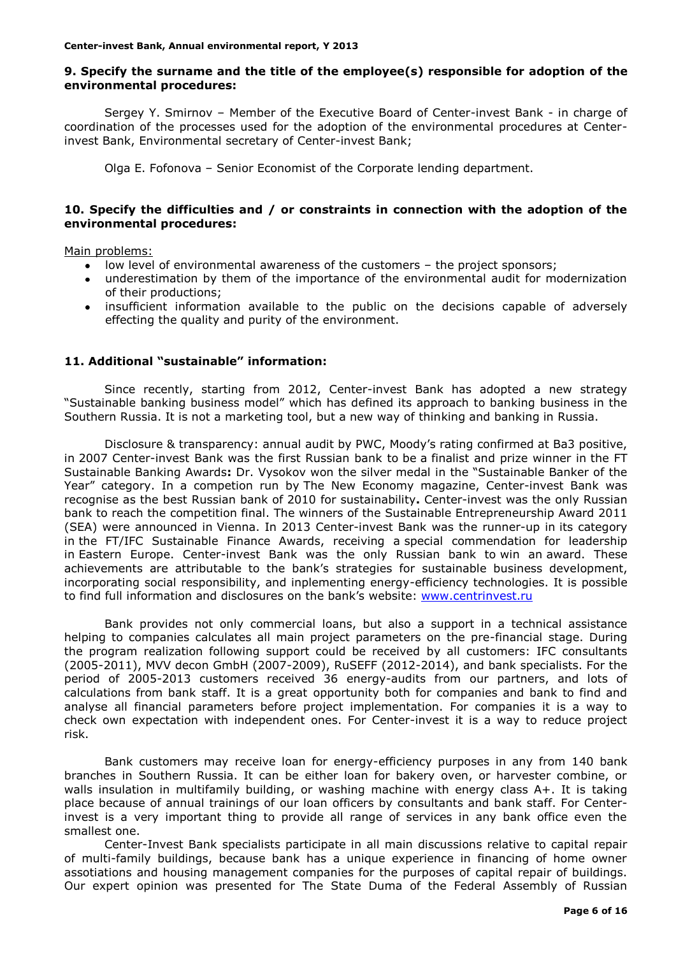# **9. Specify the surname and the title of the employee(s) responsible for adoption of the environmental procedures:**

Sergey Y. Smirnov – Member of the Executive Board of Center-invest Bank - in charge of coordination of the processes used for the adoption of the environmental procedures at Centerinvest Bank, Environmental secretary of Center-invest Bank;

Olga E. Fofonova – Senior Economist of the Corporate lending department.

# **10. Specify the difficulties and / or constraints in connection with the adoption of the environmental procedures:**

Main problems:

- low level of environmental awareness of the customers the project sponsors;
- underestimation by them of the importance of the environmental audit for modernization of their productions;
- $\bullet$ insufficient information available to the public on the decisions capable of adversely effecting the quality and purity of the environment.

## **11. Additional "sustainable" information:**

Since recently, starting from 2012, Center-invest Bank has adopted a new strategy "Sustainable banking business model" which has defined its approach to banking business in the Southern Russia. It is not a marketing tool, but a new way of thinking and banking in Russia.

Disclosure & transparency: annual audit by PWC, Moody's rating confirmed at Ba3 positive, in 2007 Center-invest Bank was the first Russian bank to be a finalist and prize winner in the FT Sustainable Banking Awards**:** Dr. Vysokov won the silver medal in the "Sustainable Banker of the Year" category. In a competion run by The New Economy magazine, Center-invest Bank was recognise as the best Russian bank of 2010 for sustainability**.** Center-invest was the only Russian bank to reach the competition final. The winners of the Sustainable Entrepreneurship Award 2011 (SEA) were announced in Vienna. In 2013 Center-invest Bank was the runner-up in its category in the FT/IFC Sustainable Finance Awards, receiving a special commendation for leadership in Eastern Europe. Center-invest Bank was the only Russian bank to win an award. These achievements are attributable to the bank's strategies for sustainable business development, incorporating social responsibility, and inplementing energy-efficiency technologies. It is possible to find full information and disclosures on the bank's website: [www.centrinvest.ru](http://www.centrinvest.ru/)

Bank provides not only commercial loans, but also a support in a technical assistance helping to companies calculates all main project parameters on the pre-financial stage. During the program realization following support could be received by all customers: IFC consultants (2005-2011), MVV decon GmbH (2007-2009), RuSEFF (2012-2014), and bank specialists. For the period of 2005-2013 customers received 36 energy-audits from our partners, and lots of calculations from bank staff. It is a great opportunity both for companies and bank to find and analyse all financial parameters before project implementation. For companies it is a way to check own expectation with independent ones. For Center-invest it is a way to reduce project risk.

Bank customers may receive loan for energy-efficiency purposes in any from 140 bank branches in Southern Russia. It can be either loan for bakery oven, or harvester combine, or walls insulation in multifamily building, or washing machine with energy class A+. It is taking place because of annual trainings of our loan officers by consultants and bank staff. For Centerinvest is a very important thing to provide all range of services in any bank office even the smallest one.

Center-Invest Bank specialists participate in all main discussions relative to capital repair of multi-family buildings, because bank has a unique experience in financing of home owner assotiations and housing management companies for the purposes of capital repair of buildings. Our expert opinion was presented for The State Duma of the Federal Assembly of Russian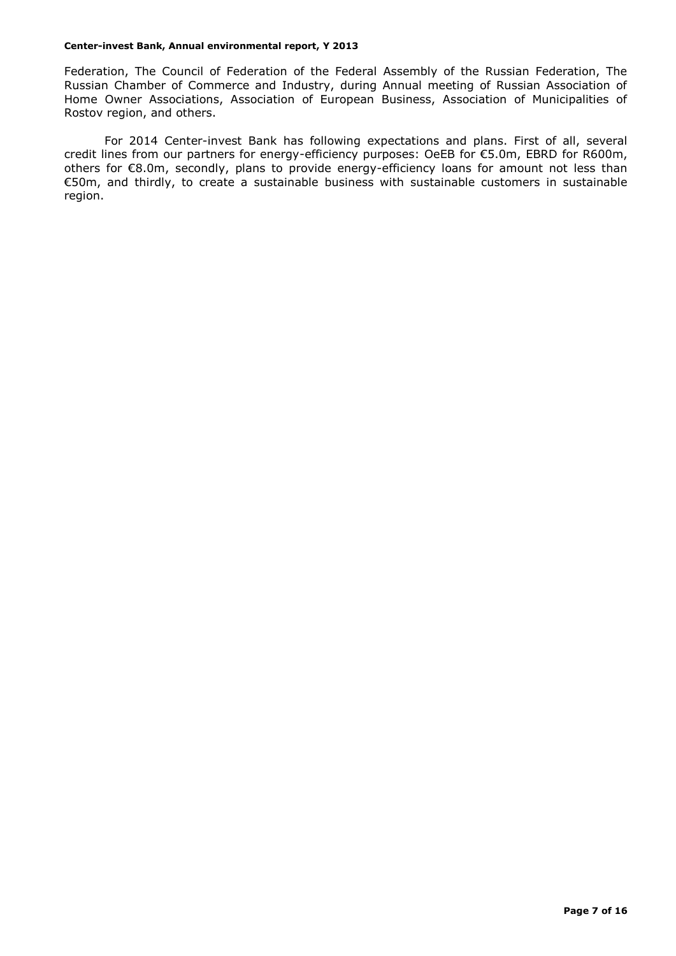Federation, The Council of Federation of the Federal Assembly of the Russian Federation, The Russian Chamber of Commerce and Industry, during Annual meeting of Russian Association of Home Owner Associations, Association of European Business, Association of Municipalities of Rostov region, and others.

For 2014 Center-invest Bank has following expectations and plans. First of all, several credit lines from our partners for energy-efficiency purposes: OeEB for €5.0m, EBRD for R600m, others for €8.0m, secondly, plans to provide energy-efficiency loans for amount not less than €50m, and thirdly, to create a sustainable business with sustainable customers in sustainable region.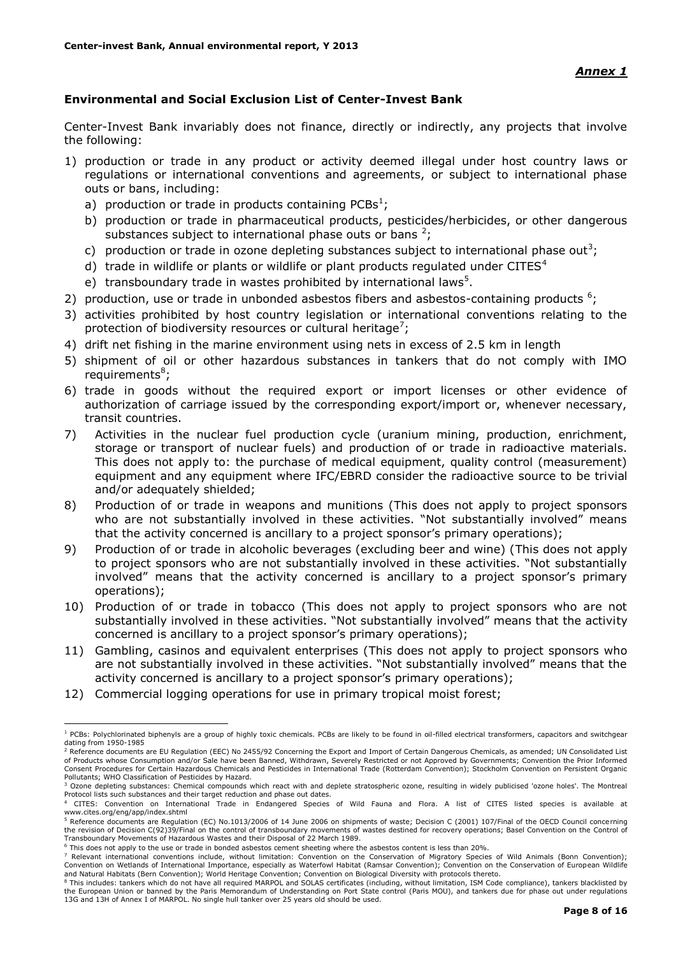# **Environmental and Social Exclusion List of Center-Invest Bank**

Center-Invest Bank invariably does not finance, directly or indirectly, any projects that involve the following:

- 1) production or trade in any product or activity deemed illegal under host country laws or regulations or international conventions and agreements, or subject to international phase outs or bans, including:
	- a) production or trade in products containing PCBs<sup>1</sup>;
	- b) production or trade in pharmaceutical products, pesticides/herbicides, or other dangerous substances subject to international phase outs or bans  $2$ ;
	- c) production or trade in ozone depleting substances subject to international phase out<sup>3</sup>;
	- d) trade in wildlife or plants or wildlife or plant products regulated under CITES $4$
	- e) transboundary trade in wastes prohibited by international laws<sup>5</sup>.
- 2) production, use or trade in unbonded asbestos fibers and asbestos-containing products  $6$ ;
- 3) activities prohibited by host country legislation or international conventions relating to the protection of biodiversity resources or cultural heritage<sup>7</sup>;
- 4) drift net fishing in the marine environment using nets in excess of 2.5 km in length
- 5) shipment of oil or other hazardous substances in tankers that do not comply with IMO requirements<sup>8</sup>;
- 6) trade in goods without the required export or import licenses or other evidence of authorization of carriage issued by the corresponding export/import or, whenever necessary, transit countries.
- 7) Activities in the nuclear fuel production cycle (uranium mining, production, enrichment, storage or transport of nuclear fuels) and production of or trade in radioactive materials. This does not apply to: the purchase of medical equipment, quality control (measurement) equipment and any equipment where IFC/EBRD consider the radioactive source to be trivial and/or adequately shielded;
- 8) Production of or trade in weapons and munitions (This does not apply to project sponsors who are not substantially involved in these activities. "Not substantially involved" means that the activity concerned is ancillary to a project sponsor's primary operations);
- 9) Production of or trade in alcoholic beverages (excluding beer and wine) (This does not apply to project sponsors who are not substantially involved in these activities. "Not substantially involved" means that the activity concerned is ancillary to a project sponsor's primary operations);
- 10) Production of or trade in tobacco (This does not apply to project sponsors who are not substantially involved in these activities. "Not substantially involved" means that the activity concerned is ancillary to a project sponsor's primary operations);
- 11) Gambling, casinos and equivalent enterprises (This does not apply to project sponsors who are not substantially involved in these activities. "Not substantially involved" means that the activity concerned is ancillary to a project sponsor's primary operations);
- 12) Commercial logging operations for use in primary tropical moist forest;

1

<sup>&</sup>lt;sup>1</sup> PCBs: Polychlorinated biphenyls are a group of highly toxic chemicals. PCBs are likely to be found in oil-filled electrical transformers, capacitors and switchgear dating from 1950-1985

<sup>&</sup>lt;sup>2</sup> Reference documents are EU Regulation (EEC) No 2455/92 Concerning the Export and Import of Certain Dangerous Chemicals, as amended; UN Consolidated List of Products whose Consumption and/or Sale have been Banned, Withdrawn, Severely Restricted or not Approved by Governments; Convention the Prior Informed<br>Consent Procedures for Certain Hazardous Chemicals and Pesticides in Pollutants; WHO Classification of Pesticides by Hazard.

<sup>&</sup>lt;sup>3</sup> Ozone depleting substances: Chemical compounds which react with and deplete stratospheric ozone, resulting in widely publicised 'ozone holes'. The Montreal Protocol lists such substances and their target reduction and phase out dates.

<sup>4</sup> CITES: Convention on International Trade in Endangered Species of Wild Fauna and Flora. A list of CITES listed species is available at www.cites.org/eng/app/index.shtml

<sup>5</sup> Reference documents are Regulation (EC) No.1013/2006 of 14 June 2006 on shipments of waste; Decision C (2001) 107/Final of the OECD Council concerning the revision of Decision C(92)39/Final on the control of transboundary movements of wastes destined for recovery operations; Basel Convention on the Control of<br>Transboundary Movements of Hazardous Wastes and their Disposal

<sup>6</sup> This does not apply to the use or trade in bonded asbestos cement sheeting where the asbestos content is less than 20%.

This does not deprived the doe of clube in bonded deserver entering the conservation of Migratory Species of Wild Animals (Bonn Convention); Convention on Wetlands of International Importance, especially as Waterfowl Habitat (Ramsar Convention); Convention on the Conservation of European Wildlife and Natural Habitats (Bern Convention); World Heritage Convention; Convention on Biological Diversity with protocols thereto.

<sup>&</sup>lt;sup>8</sup> This includes: tankers which do not have all required MARPOL and SOLAS certificates (including, without limitation, ISM Code compliance), tankers blacklisted by the European Union or banned by the Paris Memorandum of Understanding on Port State control (Paris MOU), and tankers due for phase out under regulations 13G and 13H of Annex I of MARPOL. No single hull tanker over 25 years old should be used.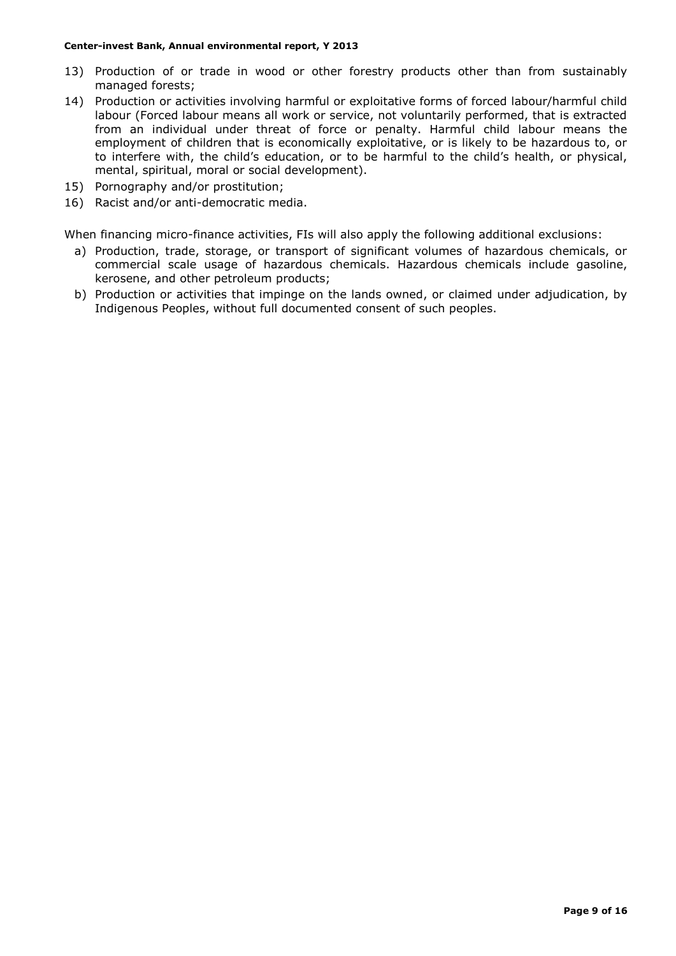- 13) Production of or trade in wood or other forestry products other than from sustainably managed forests;
- 14) Production or activities involving harmful or exploitative forms of forced labour/harmful child labour (Forced labour means all work or service, not voluntarily performed, that is extracted from an individual under threat of force or penalty. Harmful child labour means the employment of children that is economically exploitative, or is likely to be hazardous to, or to interfere with, the child's education, or to be harmful to the child's health, or physical, mental, spiritual, moral or social development).
- 15) Pornography and/or prostitution;
- 16) Racist and/or anti-democratic media.

When financing micro-finance activities, FIs will also apply the following additional exclusions:

- a) Production, trade, storage, or transport of significant volumes of hazardous chemicals, or commercial scale usage of hazardous chemicals. Hazardous chemicals include gasoline, kerosene, and other petroleum products;
- b) Production or activities that impinge on the lands owned, or claimed under adjudication, by Indigenous Peoples, without full documented consent of such peoples.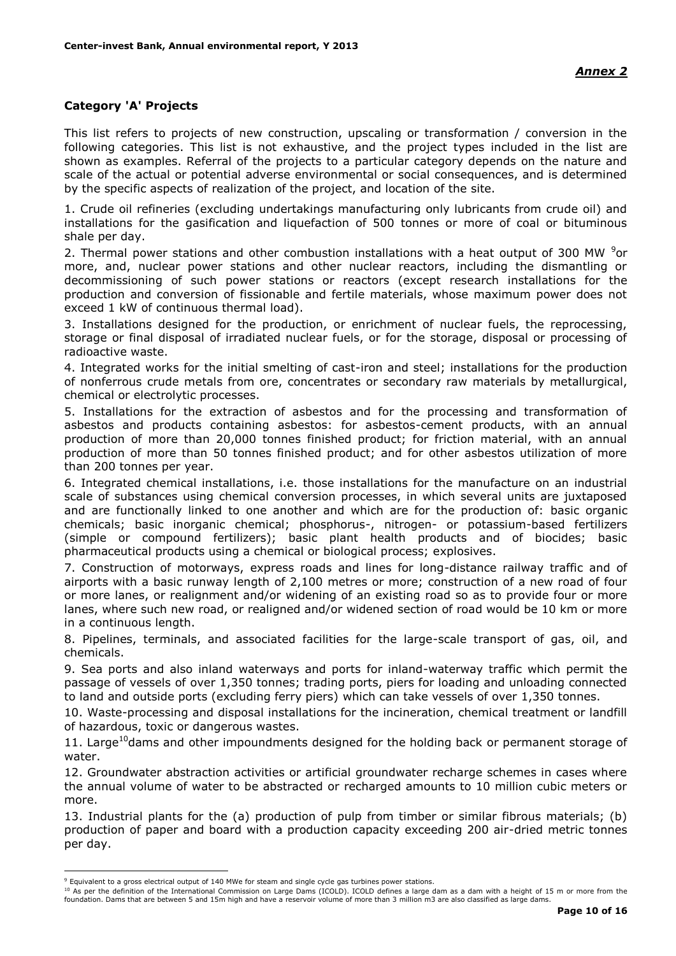# **Category 'A' Projects**

This list refers to projects of new construction, upscaling or transformation / conversion in the following categories. This list is not exhaustive, and the project types included in the list are shown as examples. Referral of the projects to a particular category depends on the nature and scale of the actual or potential adverse environmental or social consequences, and is determined by the specific aspects of realization of the project, and location of the site.

1. Crude oil refineries (excluding undertakings manufacturing only lubricants from crude oil) and installations for the gasification and liquefaction of 500 tonnes or more of coal or bituminous shale per day.

2. Thermal power stations and other combustion installations with a heat output of 300 MW  $9$ or more, and, nuclear power stations and other nuclear reactors, including the dismantling or decommissioning of such power stations or reactors (except research installations for the production and conversion of fissionable and fertile materials, whose maximum power does not exceed 1 kW of continuous thermal load).

3. Installations designed for the production, or enrichment of nuclear fuels, the reprocessing, storage or final disposal of irradiated nuclear fuels, or for the storage, disposal or processing of radioactive waste.

4. Integrated works for the initial smelting of cast-iron and steel; installations for the production of nonferrous crude metals from ore, concentrates or secondary raw materials by metallurgical, chemical or electrolytic processes.

5. Installations for the extraction of asbestos and for the processing and transformation of asbestos and products containing asbestos: for asbestos-cement products, with an annual production of more than 20,000 tonnes finished product; for friction material, with an annual production of more than 50 tonnes finished product; and for other asbestos utilization of more than 200 tonnes per year.

6. Integrated chemical installations, i.e. those installations for the manufacture on an industrial scale of substances using chemical conversion processes, in which several units are juxtaposed and are functionally linked to one another and which are for the production of: basic organic chemicals; basic inorganic chemical; phosphorus-, nitrogen- or potassium-based fertilizers (simple or compound fertilizers); basic plant health products and of biocides; basic pharmaceutical products using a chemical or biological process; explosives.

7. Construction of motorways, express roads and lines for long-distance railway traffic and of airports with a basic runway length of 2,100 metres or more; construction of a new road of four or more lanes, or realignment and/or widening of an existing road so as to provide four or more lanes, where such new road, or realigned and/or widened section of road would be 10 km or more in a continuous length.

8. Pipelines, terminals, and associated facilities for the large-scale transport of gas, oil, and chemicals.

9. Sea ports and also inland waterways and ports for inland-waterway traffic which permit the passage of vessels of over 1,350 tonnes; trading ports, piers for loading and unloading connected to land and outside ports (excluding ferry piers) which can take vessels of over 1,350 tonnes.

10. Waste-processing and disposal installations for the incineration, chemical treatment or landfill of hazardous, toxic or dangerous wastes.

11. Large<sup>10</sup>dams and other impoundments designed for the holding back or permanent storage of water.

12. Groundwater abstraction activities or artificial groundwater recharge schemes in cases where the annual volume of water to be abstracted or recharged amounts to 10 million cubic meters or more.

13. Industrial plants for the (a) production of pulp from timber or similar fibrous materials; (b) production of paper and board with a production capacity exceeding 200 air-dried metric tonnes per day.

<u>.</u>

<sup>10</sup> As per the definition of the International Commission on Large Dams (ICOLD). ICOLD defines a large dam as a dam with a height of 15 m or more from the foundation. Dams that are between 5 and 15m high and have a reservoir volume of more than 3 million m3 are also classified as large dams.

<sup>9</sup> Equivalent to a gross electrical output of 140 MWe for steam and single cycle gas turbines power stations.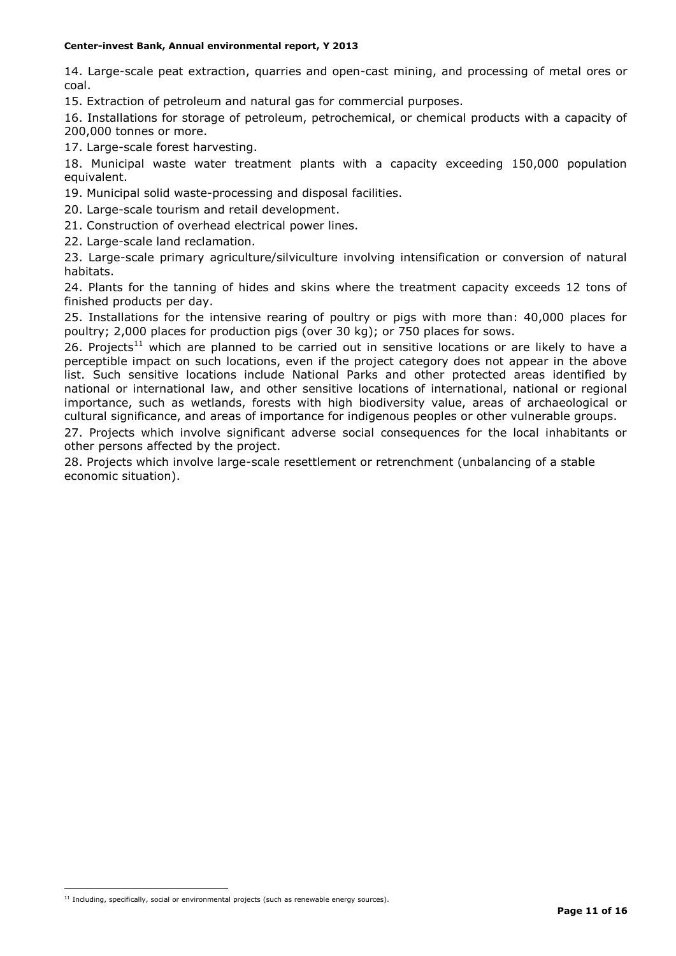14. Large-scale peat extraction, quarries and open-cast mining, and processing of metal ores or coal.

15. Extraction of petroleum and natural gas for commercial purposes.

16. Installations for storage of petroleum, petrochemical, or chemical products with a capacity of 200,000 tonnes or more.

17. Large-scale forest harvesting.

18. Municipal waste water treatment plants with a capacity exceeding 150,000 population equivalent.

19. Municipal solid waste-processing and disposal facilities.

20. Large-scale tourism and retail development.

21. Construction of overhead electrical power lines.

22. Large-scale land reclamation.

23. Large-scale primary agriculture/silviculture involving intensification or conversion of natural habitats.

24. Plants for the tanning of hides and skins where the treatment capacity exceeds 12 tons of finished products per day.

25. Installations for the intensive rearing of poultry or pigs with more than: 40,000 places for poultry; 2,000 places for production pigs (over 30 kg); or 750 places for sows.

26. Projects<sup>11</sup> which are planned to be carried out in sensitive locations or are likely to have a perceptible impact on such locations, even if the project category does not appear in the above list. Such sensitive locations include National Parks and other protected areas identified by national or international law, and other sensitive locations of international, national or regional importance, such as wetlands, forests with high biodiversity value, areas of archaeological or cultural significance, and areas of importance for indigenous peoples or other vulnerable groups.

27. Projects which involve significant adverse social consequences for the local inhabitants or other persons affected by the project.

28. Projects which involve large-scale resettlement or retrenchment (unbalancing of a stable economic situation).

1

 $11$  Including, specifically, social or environmental projects (such as renewable energy sources).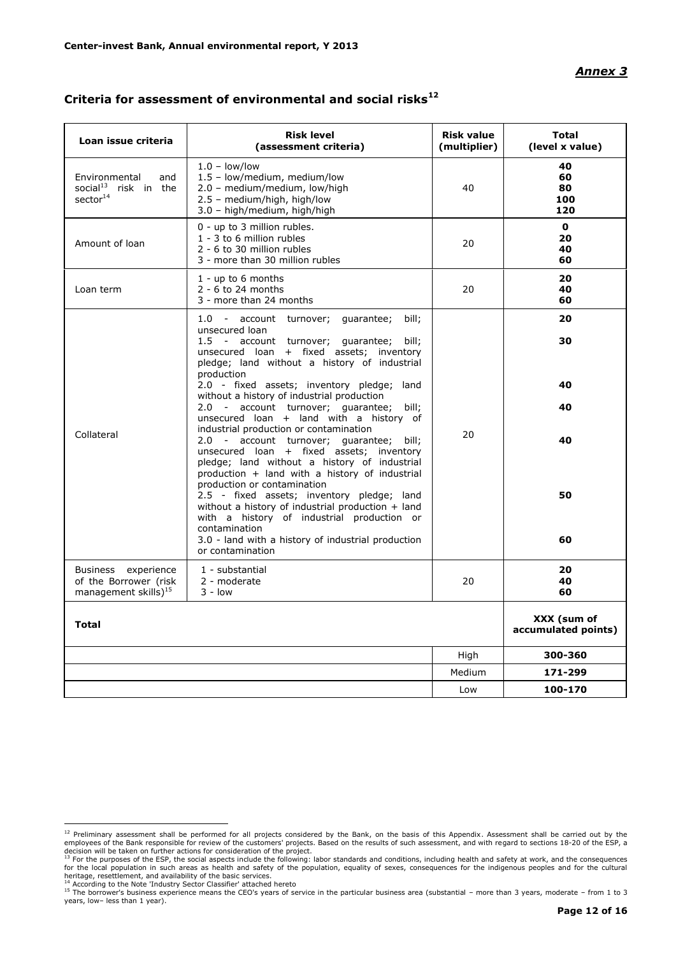## *Annex 3*

| Loan issue criteria                                                              | <b>Risk level</b><br>(assessment criteria)                                                                                                                                                                                              | <b>Risk value</b><br>(multiplier) | <b>Total</b><br>(level x value)    |
|----------------------------------------------------------------------------------|-----------------------------------------------------------------------------------------------------------------------------------------------------------------------------------------------------------------------------------------|-----------------------------------|------------------------------------|
| Environmental<br>and<br>social <sup>13</sup> risk in the<br>sector <sup>14</sup> | $1.0 - low/low$<br>1.5 - low/medium, medium/low<br>2.0 - medium/medium, low/high<br>2.5 - medium/high, high/low<br>3.0 - high/medium, high/high                                                                                         | 40                                | 40<br>60<br>80<br>100<br>120       |
| Amount of loan                                                                   | 0 - up to 3 million rubles.<br>1 - 3 to 6 million rubles<br>2 - 6 to 30 million rubles<br>3 - more than 30 million rubles                                                                                                               | 20                                | $\mathbf{0}$<br>20<br>40<br>60     |
| Loan term                                                                        | $1 - up to 6 months$<br>$2 - 6$ to 24 months<br>3 - more than 24 months                                                                                                                                                                 | 20                                | 20<br>40<br>60                     |
|                                                                                  | 1.0 - account turnover; guarantee;<br>bill;<br>unsecured loan<br>1.5 - account turnover; guarantee;<br>bill;<br>unsecured loan + fixed assets; inventory<br>pledge; land without a history of industrial                                |                                   | 20<br>30                           |
|                                                                                  | production<br>2.0 - fixed assets; inventory pledge; land<br>without a history of industrial production<br>2.0 - account turnover; guarantee; bill;<br>unsecured loan + land with a history of<br>industrial production or contamination |                                   | 40<br>40                           |
| Collateral                                                                       | 2.0 - account turnover; guarantee; bill;<br>unsecured loan + fixed assets; inventory<br>pledge; land without a history of industrial<br>production + land with a history of industrial<br>production or contamination                   | 20                                | 40                                 |
|                                                                                  | 2.5 - fixed assets; inventory pledge; land<br>without a history of industrial production + land<br>with a history of industrial production or<br>contamination<br>3.0 - land with a history of industrial production                    |                                   | 50<br>60                           |
| Business experience<br>of the Borrower (risk<br>management skills $)^{15}$       | or contamination<br>1 - substantial<br>2 - moderate<br>$3 - low$                                                                                                                                                                        | 20                                | 20<br>40<br>60                     |
| <b>Total</b>                                                                     |                                                                                                                                                                                                                                         |                                   | XXX (sum of<br>accumulated points) |
|                                                                                  |                                                                                                                                                                                                                                         | High                              | 300-360                            |
|                                                                                  |                                                                                                                                                                                                                                         | Medium                            | 171-299                            |
|                                                                                  |                                                                                                                                                                                                                                         | Low                               | 100-170                            |

# **Criteria for assessment of environmental and social risks<sup>12</sup>**

<sup>&</sup>lt;sup>12</sup> Preliminary assessment shall be performed for all projects considered by the Bank, on the basis of this Appendix. Assessment shall be carried out by the employees of the Bank responsible for review of the customers' p

<sup>&</sup>lt;sup>14</sup> According to the Note 'Industry Sector Classifier' attached hereto<br><sup>15</sup> The borrower's business experience means the CEO's years of service in the particular business area (substantial – more than 3 years, moderate – years, low– less than 1 year).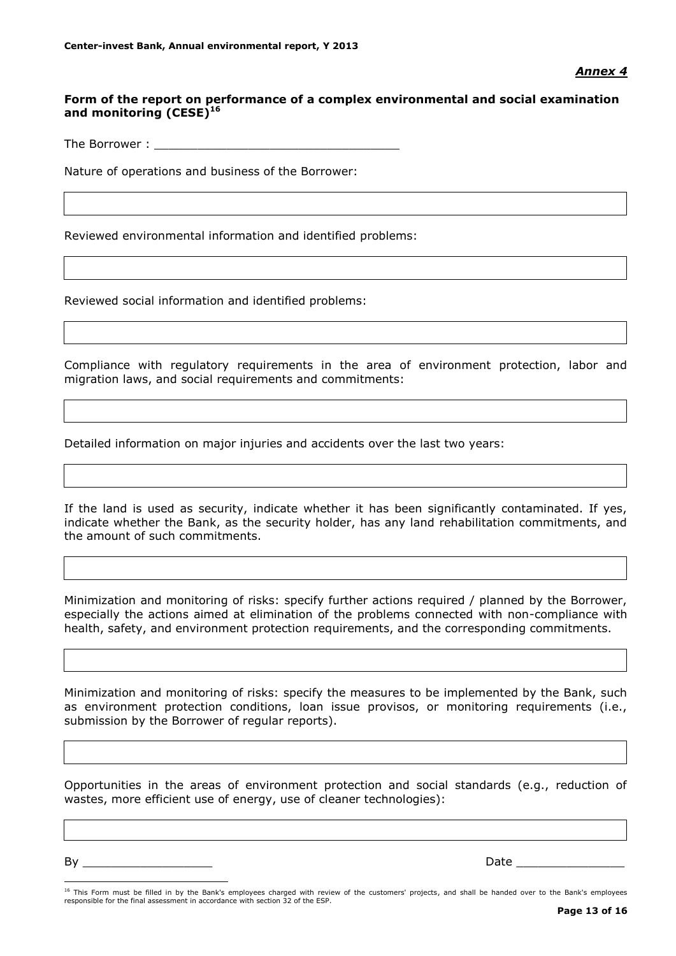# **Form of the report on performance of a complex environmental and social examination and monitoring (CESE)<sup>16</sup>**

The Borrower :

Nature of operations and business of the Borrower:

Reviewed environmental information and identified problems:

Reviewed social information and identified problems:

Compliance with regulatory requirements in the area of environment protection, labor and migration laws, and social requirements and commitments:

Detailed information on major injuries and accidents over the last two years:

If the land is used as security, indicate whether it has been significantly contaminated. If yes, indicate whether the Bank, as the security holder, has any land rehabilitation commitments, and the amount of such commitments.

Minimization and monitoring of risks: specify further actions required / planned by the Borrower, especially the actions aimed at elimination of the problems connected with non-compliance with health, safety, and environment protection requirements, and the corresponding commitments.

Minimization and monitoring of risks: specify the measures to be implemented by the Bank, such as environment protection conditions, loan issue provisos, or monitoring requirements (i.e., submission by the Borrower of regular reports).

Opportunities in the areas of environment protection and social standards (e.g., reduction of wastes, more efficient use of energy, use of cleaner technologies):

By \_\_\_\_\_\_\_\_\_\_\_\_\_\_\_\_\_\_ Date \_\_\_\_\_\_\_\_\_\_\_\_\_\_\_

<u>.</u>

<sup>&</sup>lt;sup>16</sup> This Form must be filled in by the Bank's employees charged with review of the customers' projects, and shall be handed over to the Bank's employees responsible for the final assessment in accordance with section 32 of the ESP.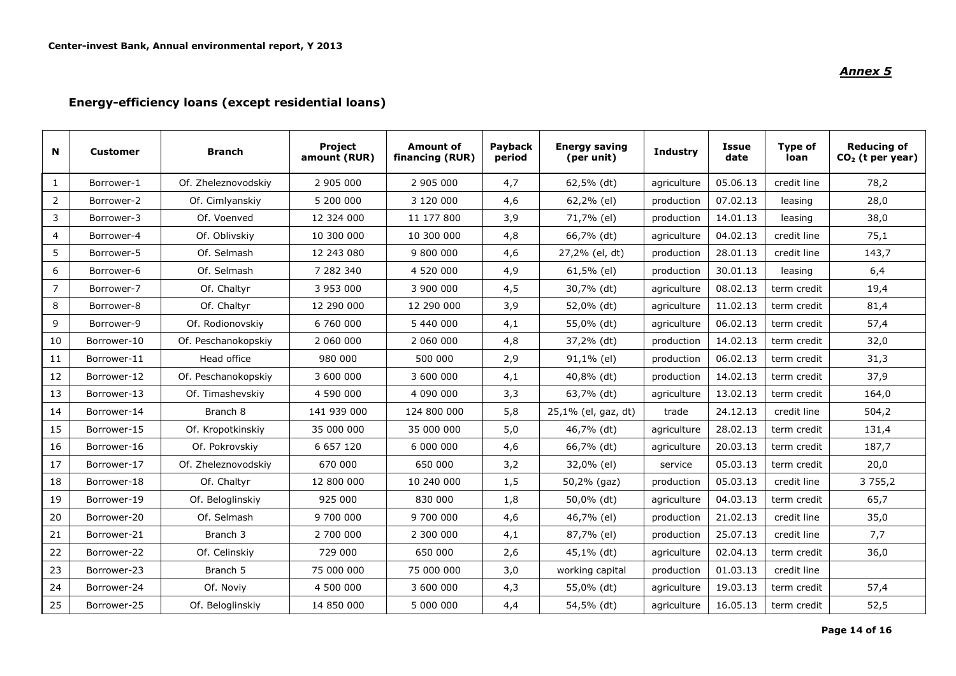# *Annex 5*

# **Energy-efficiency loans (except residential loans)**

| N              | <b>Customer</b> | <b>Branch</b>       | Project<br>amount (RUR) | <b>Amount of</b><br>financing (RUR) | Payback<br>period | <b>Energy saving</b><br>(per unit) | <b>Industry</b> | <b>Issue</b><br>date | Type of<br>loan | <b>Reducing of</b><br>$CO2$ (t per year) |
|----------------|-----------------|---------------------|-------------------------|-------------------------------------|-------------------|------------------------------------|-----------------|----------------------|-----------------|------------------------------------------|
| $\mathbf{1}$   | Borrower-1      | Of. Zheleznovodskiy | 2 905 000               | 2 905 000                           | 4,7               | 62,5% (dt)                         | agriculture     | 05.06.13             | credit line     | 78,2                                     |
| $\overline{2}$ | Borrower-2      | Of. Cimlyanskiy     | 5 200 000               | 3 120 000                           | 4,6               | 62,2% (el)                         | production      | 07.02.13             | leasing         | 28,0                                     |
| 3              | Borrower-3      | Of. Voenved         | 12 324 000              | 11 177 800                          | 3,9               | 71,7% (el)                         | production      | 14.01.13             | leasing         | 38,0                                     |
| $\overline{4}$ | Borrower-4      | Of. Oblivskiy       | 10 300 000              | 10 300 000                          | 4,8               | 66,7% (dt)                         | agriculture     | 04.02.13             | credit line     | 75,1                                     |
| 5              | Borrower-5      | Of. Selmash         | 12 243 080              | 9 800 000                           | 4,6               | 27,2% (el, dt)                     | production      | 28.01.13             | credit line     | 143,7                                    |
| 6              | Borrower-6      | Of. Selmash         | 7 282 340               | 4 520 000                           | 4,9               | 61,5% (el)                         | production      | 30.01.13             | leasing         | 6,4                                      |
| $\overline{7}$ | Borrower-7      | Of. Chaltyr         | 3 953 000               | 3 900 000                           | 4,5               | 30,7% (dt)                         | agriculture     | 08.02.13             | term credit     | 19,4                                     |
| 8              | Borrower-8      | Of. Chaltyr         | 12 290 000              | 12 290 000                          | 3,9               | 52,0% (dt)                         | agriculture     | 11.02.13             | term credit     | 81,4                                     |
| 9              | Borrower-9      | Of. Rodionovskiy    | 6 760 000               | 5 440 000                           | 4,1               | 55,0% (dt)                         | agriculture     | 06.02.13             | term credit     | 57,4                                     |
| 10             | Borrower-10     | Of. Peschanokopskiy | 2 060 000               | 2 060 000                           | 4,8               | 37,2% (dt)                         | production      | 14.02.13             | term credit     | 32,0                                     |
| 11             | Borrower-11     | Head office         | 980 000                 | 500 000                             | 2,9               | 91,1% (el)                         | production      | 06.02.13             | term credit     | 31,3                                     |
| 12             | Borrower-12     | Of. Peschanokopskiy | 3 600 000               | 3 600 000                           | 4,1               | 40,8% (dt)                         | production      | 14.02.13             | term credit     | 37,9                                     |
| 13             | Borrower-13     | Of. Timashevskiy    | 4 590 000               | 4 090 000                           | 3,3               | 63,7% (dt)                         | agriculture     | 13.02.13             | term credit     | 164,0                                    |
| 14             | Borrower-14     | Branch 8            | 141 939 000             | 124 800 000                         | 5,8               | 25,1% (el, gaz, dt)                | trade           | 24.12.13             | credit line     | 504,2                                    |
| 15             | Borrower-15     | Of. Kropotkinskiy   | 35 000 000              | 35 000 000                          | 5,0               | 46,7% (dt)                         | agriculture     | 28.02.13             | term credit     | 131,4                                    |
| 16             | Borrower-16     | Of. Pokrovskiy      | 6 657 120               | 6 000 000                           | 4,6               | 66,7% (dt)                         | agriculture     | 20.03.13             | term credit     | 187,7                                    |
| 17             | Borrower-17     | Of. Zheleznovodskiy | 670 000                 | 650 000                             | 3,2               | 32,0% (el)                         | service         | 05.03.13             | term credit     | 20,0                                     |
| 18             | Borrower-18     | Of. Chaltyr         | 12 800 000              | 10 240 000                          | 1,5               | 50,2% (gaz)                        | production      | 05.03.13             | credit line     | 3 7 5 5 , 2                              |
| 19             | Borrower-19     | Of. Beloglinskiy    | 925 000                 | 830 000                             | 1,8               | 50,0% (dt)                         | agriculture     | 04.03.13             | term credit     | 65,7                                     |
| 20             | Borrower-20     | Of. Selmash         | 9 700 000               | 9 700 000                           | 4,6               | 46,7% (el)                         | production      | 21.02.13             | credit line     | 35,0                                     |
| 21             | Borrower-21     | Branch 3            | 2 700 000               | 2 300 000                           | 4,1               | 87,7% (el)                         | production      | 25.07.13             | credit line     | 7,7                                      |
| 22             | Borrower-22     | Of. Celinskiy       | 729 000                 | 650 000                             | 2,6               | 45,1% (dt)                         | agriculture     | 02.04.13             | term credit     | 36,0                                     |
| 23             | Borrower-23     | Branch 5            | 75 000 000              | 75 000 000                          | 3,0               | working capital                    | production      | 01.03.13             | credit line     |                                          |
| 24             | Borrower-24     | Of. Noviy           | 4 500 000               | 3 600 000                           | 4,3               | 55,0% (dt)                         | agriculture     | 19.03.13             | term credit     | 57,4                                     |
| 25             | Borrower-25     | Of. Beloglinskiy    | 14 850 000              | 5 000 000                           | 4,4               | 54,5% (dt)                         | agriculture     | 16.05.13             | term credit     | 52,5                                     |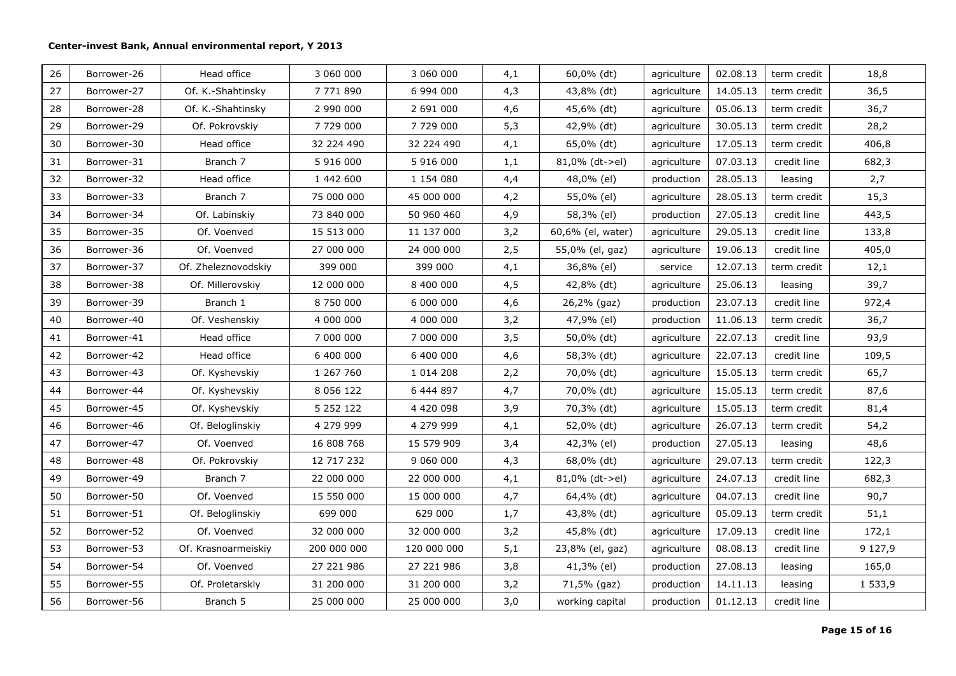| 26 | Borrower-26 | Head office         | 3 060 000     | 3 060 000   | 4,1 | 60,0% (dt)        | agriculture | 02.08.13 | term credit | 18,8       |
|----|-------------|---------------------|---------------|-------------|-----|-------------------|-------------|----------|-------------|------------|
| 27 | Borrower-27 | Of. K.-Shahtinsky   | 7 771 890     | 6 994 000   | 4,3 | 43,8% (dt)        | agriculture | 14.05.13 | term credit | 36,5       |
| 28 | Borrower-28 | Of. K.-Shahtinsky   | 2 990 000     | 2 691 000   | 4,6 | 45,6% (dt)        | agriculture | 05.06.13 | term credit | 36,7       |
| 29 | Borrower-29 | Of. Pokrovskiy      | 7 729 000     | 7 729 000   | 5,3 | 42,9% (dt)        | agriculture | 30.05.13 | term credit | 28,2       |
| 30 | Borrower-30 | Head office         | 32 224 490    | 32 224 490  | 4,1 | 65,0% (dt)        | agriculture | 17.05.13 | term credit | 406,8      |
| 31 | Borrower-31 | Branch 7            | 5 916 000     | 5 916 000   | 1,1 | 81,0% (dt->el)    | agriculture | 07.03.13 | credit line | 682,3      |
| 32 | Borrower-32 | Head office         | 1 442 600     | 1 154 080   | 4,4 | 48,0% (el)        | production  | 28.05.13 | leasing     | 2,7        |
| 33 | Borrower-33 | Branch 7            | 75 000 000    | 45 000 000  | 4,2 | 55,0% (el)        | agriculture | 28.05.13 | term credit | 15,3       |
| 34 | Borrower-34 | Of. Labinskiy       | 73 840 000    | 50 960 460  | 4,9 | 58,3% (el)        | production  | 27.05.13 | credit line | 443,5      |
| 35 | Borrower-35 | Of. Voenved         | 15 513 000    | 11 137 000  | 3,2 | 60,6% (el, water) | agriculture | 29.05.13 | credit line | 133,8      |
| 36 | Borrower-36 | Of. Voenved         | 27 000 000    | 24 000 000  | 2,5 | 55,0% (el, gaz)   | agriculture | 19.06.13 | credit line | 405,0      |
| 37 | Borrower-37 | Of. Zheleznovodskiy | 399 000       | 399 000     | 4,1 | 36,8% (el)        | service     | 12.07.13 | term credit | 12,1       |
| 38 | Borrower-38 | Of. Millerovskiy    | 12 000 000    | 8 400 000   | 4,5 | 42,8% (dt)        | agriculture | 25.06.13 | leasing     | 39,7       |
| 39 | Borrower-39 | Branch 1            | 8 750 000     | 6 000 000   | 4,6 | 26,2% (gaz)       | production  | 23.07.13 | credit line | 972,4      |
| 40 | Borrower-40 | Of. Veshenskiy      | 4 000 000     | 4 000 000   | 3,2 | 47,9% (el)        | production  | 11.06.13 | term credit | 36,7       |
| 41 | Borrower-41 | Head office         | 7 000 000     | 7 000 000   | 3,5 | 50,0% (dt)        | agriculture | 22.07.13 | credit line | 93,9       |
| 42 | Borrower-42 | Head office         | 6 400 000     | 6 400 000   | 4,6 | 58,3% (dt)        | agriculture | 22.07.13 | credit line | 109,5      |
| 43 | Borrower-43 | Of. Kyshevskiy      | 1 267 760     | 1 0 14 2 08 | 2,2 | 70,0% (dt)        | agriculture | 15.05.13 | term credit | 65,7       |
| 44 | Borrower-44 | Of. Kyshevskiy      | 8 0 5 6 1 2 2 | 6 444 897   | 4,7 | 70,0% (dt)        | agriculture | 15.05.13 | term credit | 87,6       |
| 45 | Borrower-45 | Of. Kyshevskiy      | 5 2 5 2 1 2 2 | 4 420 098   | 3,9 | 70,3% (dt)        | agriculture | 15.05.13 | term credit | 81,4       |
| 46 | Borrower-46 | Of. Beloglinskiy    | 4 279 999     | 4 279 999   | 4,1 | 52,0% (dt)        | agriculture | 26.07.13 | term credit | 54,2       |
| 47 | Borrower-47 | Of. Voenved         | 16 808 768    | 15 579 909  | 3,4 | 42,3% (el)        | production  | 27.05.13 | leasing     | 48,6       |
| 48 | Borrower-48 | Of. Pokrovskiy      | 12 717 232    | 9 060 000   | 4,3 | 68,0% (dt)        | agriculture | 29.07.13 | term credit | 122,3      |
| 49 | Borrower-49 | Branch 7            | 22 000 000    | 22 000 000  | 4,1 | $81,0\%$ (dt->el) | agriculture | 24.07.13 | credit line | 682,3      |
| 50 | Borrower-50 | Of. Voenved         | 15 550 000    | 15 000 000  | 4,7 | 64,4% (dt)        | agriculture | 04.07.13 | credit line | 90,7       |
| 51 | Borrower-51 | Of. Beloglinskiy    | 699 000       | 629 000     | 1,7 | 43,8% (dt)        | agriculture | 05.09.13 | term credit | 51,1       |
| 52 | Borrower-52 | Of. Voenved         | 32 000 000    | 32 000 000  | 3,2 | 45,8% (dt)        | agriculture | 17.09.13 | credit line | 172,1      |
| 53 | Borrower-53 | Of. Krasnoarmeiskiy | 200 000 000   | 120 000 000 | 5,1 | 23,8% (el, gaz)   | agriculture | 08.08.13 | credit line | 9 1 2 7, 9 |
| 54 | Borrower-54 | Of. Voenved         | 27 221 986    | 27 221 986  | 3,8 | 41,3% (el)        | production  | 27.08.13 | leasing     | 165,0      |
| 55 | Borrower-55 | Of. Proletarskiy    | 31 200 000    | 31 200 000  | 3,2 | 71,5% (gaz)       | production  | 14.11.13 | leasing     | 1 533,9    |
| 56 | Borrower-56 | Branch 5            | 25 000 000    | 25 000 000  | 3,0 | working capital   | production  | 01.12.13 | credit line |            |